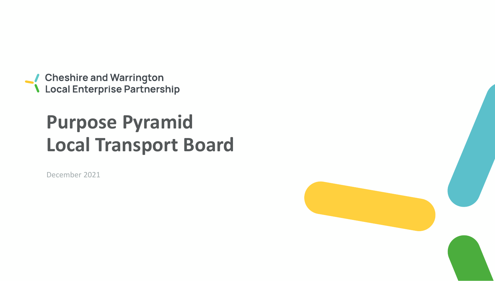● Cheshire and Warrington<br>● Local Enterprise Partnership

# **Purpose Pyramid Local Transport Board**

December 2021

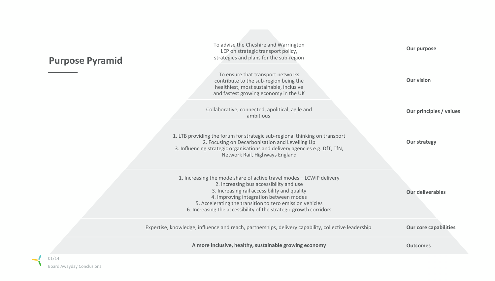## **Purpose Pyramid**

| To advise the Cheshire and Warrington<br>LEP on strategic transport policy,<br>strategies and plans for the sub-region                                                                                                                                                                                                                     | Our purpose                  |
|--------------------------------------------------------------------------------------------------------------------------------------------------------------------------------------------------------------------------------------------------------------------------------------------------------------------------------------------|------------------------------|
| To ensure that transport networks<br>contribute to the sub-region being the<br>healthiest, most sustainable, inclusive<br>and fastest growing economy in the UK                                                                                                                                                                            | <b>Our vision</b>            |
| Collaborative, connected, apolitical, agile and<br>ambitious                                                                                                                                                                                                                                                                               | Our principles / values      |
| 1. LTB providing the forum for strategic sub-regional thinking on transport<br>2. Focusing on Decarbonisation and Levelling Up<br>3. Influencing strategic organisations and delivery agencies e.g. DfT, TfN,<br>Network Rail, Highways England                                                                                            | <b>Our strategy</b>          |
| 1. Increasing the mode share of active travel modes - LCWIP delivery<br>2. Increasing bus accessibility and use<br>3. Increasing rail accessibility and quality<br>4. Improving integration between modes<br>5. Accelerating the transition to zero emission vehicles<br>6. Increasing the accessibility of the strategic growth corridors | <b>Our deliverables</b>      |
| Expertise, knowledge, influence and reach, partnerships, delivery capability, collective leadership                                                                                                                                                                                                                                        | <b>Our core capabilities</b> |
| A more inclusive, healthy, sustainable growing economy                                                                                                                                                                                                                                                                                     | <b>Outcomes</b>              |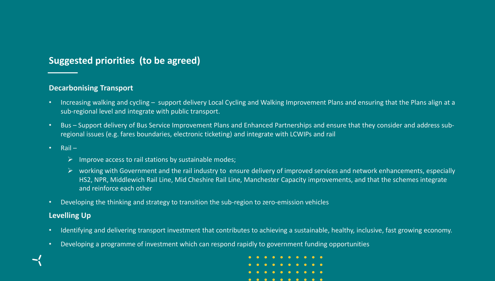## **Suggested priorities (to be agreed)**

#### **Decarbonising Transport**

- Increasing walking and cycling support delivery Local Cycling and Walking Improvement Plans and ensuring that the Plans align at a sub-regional level and integrate with public transport.
- Bus Support delivery of Bus Service Improvement Plans and Enhanced Partnerships and ensure that they consider and address subregional issues (e.g. fares boundaries, electronic ticketing) and integrate with LCWIPs and rail
- Rail
	- $\triangleright$  Improve access to rail stations by sustainable modes;
	- $\triangleright$  working with Government and the rail industry to ensure delivery of improved services and network enhancements, especially HS2, NPR, Middlewich Rail Line, Mid Cheshire Rail Line, Manchester Capacity improvements, and that the schemes integrate and reinforce each other
- Developing the thinking and strategy to transition the sub-region to zero-emission vehicles

#### **Levelling Up**

- Identifying and delivering transport investment that contributes to achieving a sustainable, healthy, inclusive, fast growing economy.
- Developing a programme of investment which can respond rapidly to government funding opportunities